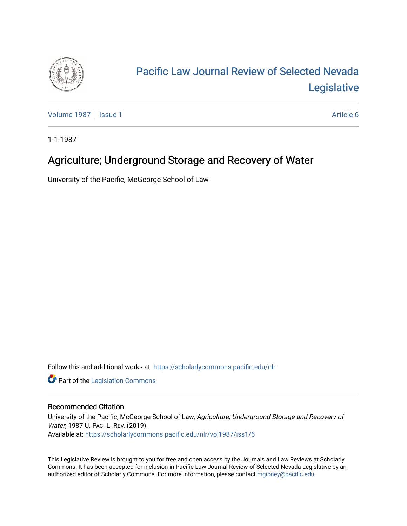

# [Pacific Law Journal Review of Selected Nevada](https://scholarlycommons.pacific.edu/nlr)  [Legislative](https://scholarlycommons.pacific.edu/nlr)

[Volume 1987](https://scholarlycommons.pacific.edu/nlr/vol1987) | [Issue 1](https://scholarlycommons.pacific.edu/nlr/vol1987/iss1) Article 6

1-1-1987

# Agriculture; Underground Storage and Recovery of Water

University of the Pacific, McGeorge School of Law

Follow this and additional works at: [https://scholarlycommons.pacific.edu/nlr](https://scholarlycommons.pacific.edu/nlr?utm_source=scholarlycommons.pacific.edu%2Fnlr%2Fvol1987%2Fiss1%2F6&utm_medium=PDF&utm_campaign=PDFCoverPages) 

**Part of the [Legislation Commons](http://network.bepress.com/hgg/discipline/859?utm_source=scholarlycommons.pacific.edu%2Fnlr%2Fvol1987%2Fiss1%2F6&utm_medium=PDF&utm_campaign=PDFCoverPages)** 

## Recommended Citation

University of the Pacific, McGeorge School of Law, Agriculture; Underground Storage and Recovery of Water, 1987 U. PAC. L. REV. (2019). Available at: [https://scholarlycommons.pacific.edu/nlr/vol1987/iss1/6](https://scholarlycommons.pacific.edu/nlr/vol1987/iss1/6?utm_source=scholarlycommons.pacific.edu%2Fnlr%2Fvol1987%2Fiss1%2F6&utm_medium=PDF&utm_campaign=PDFCoverPages) 

This Legislative Review is brought to you for free and open access by the Journals and Law Reviews at Scholarly Commons. It has been accepted for inclusion in Pacific Law Journal Review of Selected Nevada Legislative by an authorized editor of Scholarly Commons. For more information, please contact [mgibney@pacific.edu](mailto:mgibney@pacific.edu).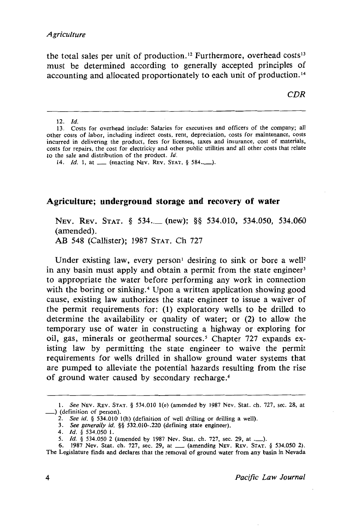the total sales per unit of production.<sup>12</sup> Furthermore, overhead costs<sup>13</sup> must be determined according to generally accepted principles of accounting and allocated proportionately to each unit of production. <sup>14</sup>

*CDR* 

12. *Id.* 

### **Agriculture; underground storage and recovery of water**

NEV. REV. STAT. § 534. (new); §§ 534.010, 534.050, 534.060 (amended). AB 548 (Callister); 1987 STAT. Ch 727

Under existing law, every person<sup>1</sup> desiring to sink or bore a well<sup>2</sup> in any basin must apply and obtain a permit from the state engineer<sup>3</sup> to appropriate the water before performing any work in connection with the boring or sinking.<sup>4</sup> Upon a written application showing good cause, existing law authorizes the state engineer to issue a waiver of the permit requirements for: (1) exploratory wells to be drilled to determine the availability or quality of water; or (2) to allow the temporary use of water in constructing a highway or exploring for oil, gas, minerals or geothermal sources.<sup>5</sup> Chapter 727 expands existing law by permitting the state engineer to waive the permit requirements for wells drilled in shallow ground water systems that are pumped to alleviate the potential hazards resulting from the rise of ground water caused by secondary recharge. <sup>6</sup>

<sup>13.</sup> Costs for overhead include: Salaries for executives and officers of the company; all other costs of labor, including indirect costs, rent, depreciation, costs for maintenance, costs incurred in delivering the product, fees for licenses, taxes and insurance, cost of materials, costs for repairs, the cost for electricity and other public utilities and all other costs that relate to the sale and distribution of the product. */d.* 

<sup>14.</sup> *Id.* 1, at  $\frac{1}{2}$  (enacting Nev. Rev. STAT. § 584.........).

<sup>1.</sup> *See* NEv. REv. STAT. § 534.010 1(e) (amended by 1987 Nev. Stat. ch. 727, sec. 28, at \_) (definition of person).

<sup>2.</sup> *See id.* § 534.010 1(h) (definition of well drilling or drilling a well).

<sup>3.</sup> *See generally id.* §§ 532.010-.220 (defining state engineer).

<sup>4.</sup> *Id.* § 534.050 1.<br>5. *Id.* § 534.050 2 (amended by 1987 Nev. Stat. ch. 727, sec. 29, at ........).<br>6. 1987 Nev. Stat. ch. 727, sec. 29, at ....... (amending Nev. Rev. Stat. § 534.050 2). The Legislature finds and declares that the removal of ground water from any basin in Nevada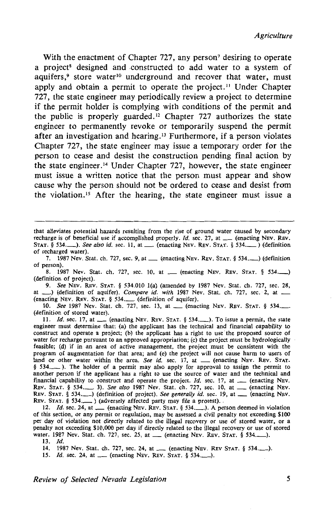With the enactment of Chapter 727, any person<sup>7</sup> desiring to operate a project<sup>8</sup> designed and constructed to add water to a system of aquifers,<sup>9</sup> store water<sup>10</sup> underground and recover that water, must apply and obtain a permit to operate the project.<sup>11</sup> Under Chapter 727, the state engineer may periodically review a project to determine if the permit holder is complying with conditions of the permit and the public is properly guarded. 12 Chapter 727 authorizes the state engineer to permanently revoke or temporarily suspend the permit after an investigation and hearing.<sup>13</sup> Furthermore, if a person violates Chapter 727, the state engineer may issue a temporary order for the person to cease and desist the construction pending final action by the state engineer.<sup>14</sup> Under Chapter 727, however, the state engineer must issue a written notice that the person must appear and show cause why the person should not be ordered to cease and desist from the violation. 15 After the hearing, the state engineer must issue a

7. 1987 Nev. Stat. ch. 727, sec. 9, at  $\Box$  (enacting NEV. REV. STAT. § 534. $\Box$ ) (definition of person).

8. 1987 Nev. Stat. ch. 727, sec. 10, at \_\_ (enacting NEV. REV. STAT. § 534.........) (definition of project).

9. *See* NEv. REv. STAT. § 534.010 I(a) (amended by 1987 Nev. Stat. ch. 727, sec. 28, at \_\_) (definition of aquifer). *Compare id. with* 1987 Nev. Stat. ch. 727, sec. 2, at \_\_ (enacting NEV. REV. STAT. § 534.......... (definition of aquifer).

10. *See* 1987 Nev. Stat. ch. 727, sec. 13, at \_\_ (enacting NEV. REV. STAT. § 534.\_\_ (definition of stored water).

11. *Id.* sec. 17, at \_\_ (enacting NEV. REV. STAT. § 534.........). To issue a permit, the state engineer must determine that: (a) the applicant has the technical and financial capability to construct and operate a project; (b) the applicant has a right to use the proposed source of water for recharge pursuant to an approved appropriation; (c) the project must be hydrologically feasible; (d) if in an area of active management, the project must be consistent with the program of augmentation for that area; and (e) the project will not cause harm to users of land or other water within the area. *See id.* sec. 17, at \_\_ (enacting NEV. REV. STAT. § 534.  $\Box$ ). The holder of a permit may also apply for approval to assign the permit to another person if the applicant has a right to use the source of water and the technical and financial capability to construct and operate the project. *Id.* sec. 17, at \_\_ (enacting Nev. REV. STAT. § 534.\_\_\_ 3). See also 1987 Nev. Stat. ch. 727, sec. 10, at \_\_ (enacting NEV. REV. STAT. § 534. (definition of project). See generally id. sec. 19, at \_ (enacting NEV. REV. STAT. § 534.\_\_ ) (adversely affected party may file a protest).

12. *Id.* sec. 24, at \_\_ (enacting NEV. REV. STAT. § 534.\_\_). A person deemed in violation of this section, or any permit or regulation, may be assessed a civil penalty not exceeding \$100 per day of violation not directly related to the illegal recovery or use of stored water, or a penalty not exceeding \$10,000 per day if directly related to the illegal recovery or use of stored water. 1987 Nev. Stat. ch. 727, sec. 25, at \_\_ (enacting NEV. REV. STAT. § 534.

14. 1987 Nev. Stat. ch. 727, sec. 24, at \_\_ (enacting NEV. REV STAT. § 534.........).

15. *Id.* sec. 24, at \_\_ (enacting NEV. REV. STAT. § 534.........).

*Review of Selected Nevada Legislation 5* 

that alleviates potential hazards resulting from the rise of ground water caused by secondary recharge is of beneficial use if accomplished properly. *Id.* sec. 27, at \_\_ (enacting NEV. REV. STAT. § 534.<sup>2</sup>. *See also id.* sec. 11, at \_\_\_ (enacting NEV. REV. STAT. § 534.<sup>2</sup>) (definition of recharged water).

<sup>13.</sup> *!d.*